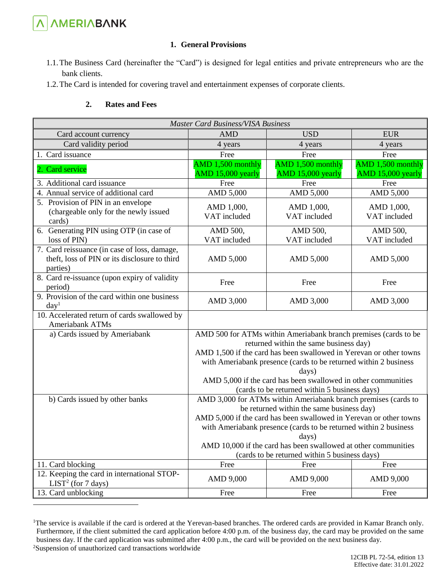

1

## **1. General Provisions**

- 1.1.The Business Card (hereinafter the "Card") is designed for legal entities and private entrepreneurs who are the bank clients.
- 1.2.The Card is intended for covering travel and entertainment expenses of corporate clients.

## **2. Rates and Fees**

| <b>Master Card Business/VISA Business</b>                                                                 |                                                                                                                                                                                                                                                                                                                                                                                   |                                        |                                        |  |  |  |
|-----------------------------------------------------------------------------------------------------------|-----------------------------------------------------------------------------------------------------------------------------------------------------------------------------------------------------------------------------------------------------------------------------------------------------------------------------------------------------------------------------------|----------------------------------------|----------------------------------------|--|--|--|
| Card account currency                                                                                     | <b>AMD</b>                                                                                                                                                                                                                                                                                                                                                                        | <b>USD</b>                             | <b>EUR</b>                             |  |  |  |
| Card validity period                                                                                      | 4 years                                                                                                                                                                                                                                                                                                                                                                           | 4 years                                | 4 years                                |  |  |  |
| 1. Card issuance                                                                                          | Free                                                                                                                                                                                                                                                                                                                                                                              | Free                                   | Free                                   |  |  |  |
| 2. Card service                                                                                           | AMD 1,500 monthly<br>AMD 15,000 yearly                                                                                                                                                                                                                                                                                                                                            | AMD 1,500 monthly<br>AMD 15,000 yearly | AMD 1,500 monthly<br>AMD 15,000 yearly |  |  |  |
| 3. Additional card issuance                                                                               | Free                                                                                                                                                                                                                                                                                                                                                                              | Free                                   | Free                                   |  |  |  |
| 4. Annual service of additional card                                                                      | AMD 5,000                                                                                                                                                                                                                                                                                                                                                                         | AMD 5,000                              | AMD 5,000                              |  |  |  |
| 5. Provision of PIN in an envelope<br>(chargeable only for the newly issued<br>cards)                     | AMD 1,000,<br>VAT included                                                                                                                                                                                                                                                                                                                                                        | AMD 1,000,<br>VAT included             | AMD 1,000,<br>VAT included             |  |  |  |
| 6. Generating PIN using OTP (in case of                                                                   | AMD 500,                                                                                                                                                                                                                                                                                                                                                                          | AMD 500,                               | AMD 500,                               |  |  |  |
| loss of PIN)                                                                                              | VAT included                                                                                                                                                                                                                                                                                                                                                                      | VAT included                           | VAT included                           |  |  |  |
| 7. Card reissuance (in case of loss, damage,<br>theft, loss of PIN or its disclosure to third<br>parties) | AMD 5,000                                                                                                                                                                                                                                                                                                                                                                         | AMD 5,000                              | AMD 5,000                              |  |  |  |
| 8. Card re-issuance (upon expiry of validity<br>period)                                                   | Free                                                                                                                                                                                                                                                                                                                                                                              | Free                                   | Free                                   |  |  |  |
| 9. Provision of the card within one business<br>day <sup>1</sup>                                          | AMD 3,000                                                                                                                                                                                                                                                                                                                                                                         | AMD 3,000                              | AMD 3,000                              |  |  |  |
| 10. Accelerated return of cards swallowed by<br>Ameriabank ATMs                                           |                                                                                                                                                                                                                                                                                                                                                                                   |                                        |                                        |  |  |  |
| a) Cards issued by Ameriabank                                                                             | AMD 500 for ATMs within Ameriabank branch premises (cards to be<br>returned within the same business day)<br>AMD 1,500 if the card has been swallowed in Yerevan or other towns<br>with Ameriabank presence (cards to be returned within 2 business<br>days)<br>AMD 5,000 if the card has been swallowed in other communities<br>(cards to be returned within 5 business days)    |                                        |                                        |  |  |  |
| b) Cards issued by other banks                                                                            | AMD 3,000 for ATMs within Ameriabank branch premises (cards to<br>be returned within the same business day)<br>AMD 5,000 if the card has been swallowed in Yerevan or other towns<br>with Ameriabank presence (cards to be returned within 2 business<br>days)<br>AMD 10,000 if the card has been swallowed at other communities<br>(cards to be returned within 5 business days) |                                        |                                        |  |  |  |
| 11. Card blocking                                                                                         | Free                                                                                                                                                                                                                                                                                                                                                                              | Free                                   | Free                                   |  |  |  |
| 12. Keeping the card in international STOP-<br>LIST <sup>2</sup> (for 7 days)                             | AMD 9,000                                                                                                                                                                                                                                                                                                                                                                         | AMD 9,000                              | AMD 9,000                              |  |  |  |
| 13. Card unblocking                                                                                       | Free                                                                                                                                                                                                                                                                                                                                                                              | Free                                   | Free                                   |  |  |  |

<sup>&</sup>lt;sup>1</sup>The service is available if the card is ordered at the Yerevan-based branches. The ordered cards are provided in Kamar Branch only. Furthermore, if the client submitted the card application before 4:00 p.m. of the business day, the card may be provided on the same business day. If the card application was submitted after 4:00 p.m., the card will be provided on the next business day. 2Suspension of unauthorized card transactions worldwide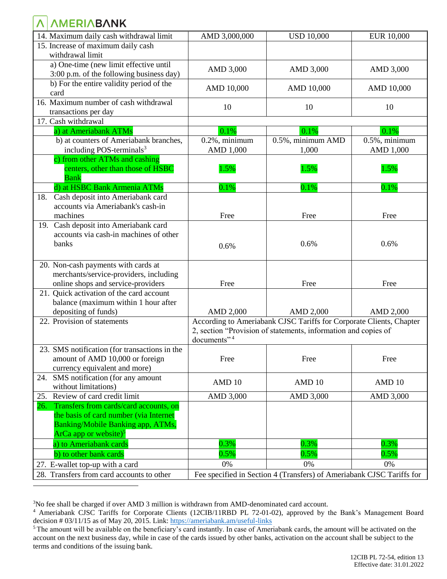## **A AMERIABANK**

| 14. Maximum daily cash withdrawal limit                                                                            | AMD 3,000,000                                                  | <b>USD 10,000</b>                                                   | <b>EUR 10,000</b> |  |  |
|--------------------------------------------------------------------------------------------------------------------|----------------------------------------------------------------|---------------------------------------------------------------------|-------------------|--|--|
| 15. Increase of maximum daily cash                                                                                 |                                                                |                                                                     |                   |  |  |
| withdrawal limit                                                                                                   |                                                                |                                                                     |                   |  |  |
| a) One-time (new limit effective until                                                                             |                                                                |                                                                     |                   |  |  |
| 3:00 p.m. of the following business day)                                                                           | AMD 3,000                                                      | AMD 3,000                                                           | AMD 3,000         |  |  |
| b) For the entire validity period of the                                                                           |                                                                |                                                                     |                   |  |  |
| card                                                                                                               | AMD 10,000                                                     | AMD 10,000                                                          | AMD 10,000        |  |  |
| 16. Maximum number of cash withdrawal                                                                              |                                                                |                                                                     |                   |  |  |
| transactions per day                                                                                               | 10                                                             | 10                                                                  | 10                |  |  |
| 17. Cash withdrawal                                                                                                |                                                                |                                                                     |                   |  |  |
| a) at Ameriabank ATMs                                                                                              | 0.1%                                                           | 0.1%                                                                | 0.1%              |  |  |
| b) at counters of Ameriabank branches,                                                                             | $0.2\%$ , minimum                                              | 0.5%, minimum AMD                                                   | $0.5\%$ , minimum |  |  |
| including POS-terminals <sup>3</sup>                                                                               | AMD 1,000                                                      | 1,000                                                               | AMD 1,000         |  |  |
| c) from other ATMs and cashing                                                                                     |                                                                |                                                                     |                   |  |  |
| centers, other than those of HSBC                                                                                  | 1.5%                                                           | 1.5%                                                                | 1.5%              |  |  |
| <b>Bank</b>                                                                                                        |                                                                |                                                                     |                   |  |  |
| d) at HSBC Bank Armenia ATMs                                                                                       | 0.1%                                                           | 0.1%                                                                | 0.1%              |  |  |
| Cash deposit into Ameriabank card<br>18.                                                                           |                                                                |                                                                     |                   |  |  |
| accounts via Ameriabank's cash-in                                                                                  |                                                                |                                                                     |                   |  |  |
| machines                                                                                                           | Free                                                           | Free                                                                | Free              |  |  |
| 19. Cash deposit into Ameriabank card                                                                              |                                                                |                                                                     |                   |  |  |
| accounts via cash-in machines of other                                                                             |                                                                |                                                                     |                   |  |  |
| banks                                                                                                              | 0.6%                                                           | 0.6%                                                                | 0.6%              |  |  |
|                                                                                                                    |                                                                |                                                                     |                   |  |  |
| 20. Non-cash payments with cards at                                                                                |                                                                |                                                                     |                   |  |  |
| merchants/service-providers, including                                                                             |                                                                |                                                                     |                   |  |  |
| online shops and service-providers                                                                                 | Free                                                           | Free                                                                | Free              |  |  |
| 21. Quick activation of the card account                                                                           |                                                                |                                                                     |                   |  |  |
| balance (maximum within 1 hour after                                                                               |                                                                |                                                                     |                   |  |  |
| depositing of funds)                                                                                               | AMD 2,000                                                      | AMD 2,000                                                           | AMD 2,000         |  |  |
| 22. Provision of statements                                                                                        |                                                                | According to Ameriabank CJSC Tariffs for Corporate Clients, Chapter |                   |  |  |
|                                                                                                                    | 2, section "Provision of statements, information and copies of |                                                                     |                   |  |  |
|                                                                                                                    | documents" <sup>4</sup>                                        |                                                                     |                   |  |  |
| 23. SMS notification (for transactions in the                                                                      |                                                                |                                                                     |                   |  |  |
| amount of AMD 10,000 or foreign                                                                                    | Free                                                           | Free                                                                | Free              |  |  |
| currency equivalent and more)                                                                                      |                                                                |                                                                     |                   |  |  |
| SMS notification (for any amount<br>24.                                                                            |                                                                |                                                                     |                   |  |  |
| without limitations)                                                                                               | AMD <sub>10</sub>                                              | AMD 10                                                              | AMD <sub>10</sub> |  |  |
| Review of card credit limit<br>25.                                                                                 | AMD 3,000                                                      | AMD 3,000                                                           | AMD 3,000         |  |  |
| Transfers from cards/card accounts, on<br>26.                                                                      |                                                                |                                                                     |                   |  |  |
| the basis of card number (via Internet                                                                             |                                                                |                                                                     |                   |  |  |
| Banking/Mobile Banking app, ATMs,                                                                                  |                                                                |                                                                     |                   |  |  |
| ArCa app or website) <sup>5</sup>                                                                                  |                                                                |                                                                     |                   |  |  |
| a) to Ameriabank cards                                                                                             | 0.3%                                                           | 0.3%                                                                | 0.3%              |  |  |
|                                                                                                                    |                                                                | 0.5%                                                                | 0.5%              |  |  |
| b) to other bank cards                                                                                             | 0.5%                                                           |                                                                     |                   |  |  |
| 27. E-wallet top-up with a card                                                                                    | 0%                                                             | 0%                                                                  | 0%                |  |  |
| 28. Transfers from card accounts to other<br>Fee specified in Section 4 (Transfers) of Ameriabank CJSC Tariffs for |                                                                |                                                                     |                   |  |  |
|                                                                                                                    |                                                                |                                                                     |                   |  |  |

<sup>3</sup>No fee shall be charged if over AMD 3 million is withdrawn from AMD-denominated card account.

<sup>4</sup> Ameriabank CJSC Tariffs for Corporate Clients (12CIB/11RBD PL 72-01-02), approved by the Bank's Management Board decision # 03/11/15 as of May 20, 2015. Link: <https://ameriabank.am/useful-links>

<sup>&</sup>lt;sup>5</sup> The amount will be available on the beneficiary's card instantly. In case of Ameriabank cards, the amount will be activated on the account on the next business day, while in case of the cards issued by other banks, activation on the account shall be subject to the terms and conditions of the issuing bank.